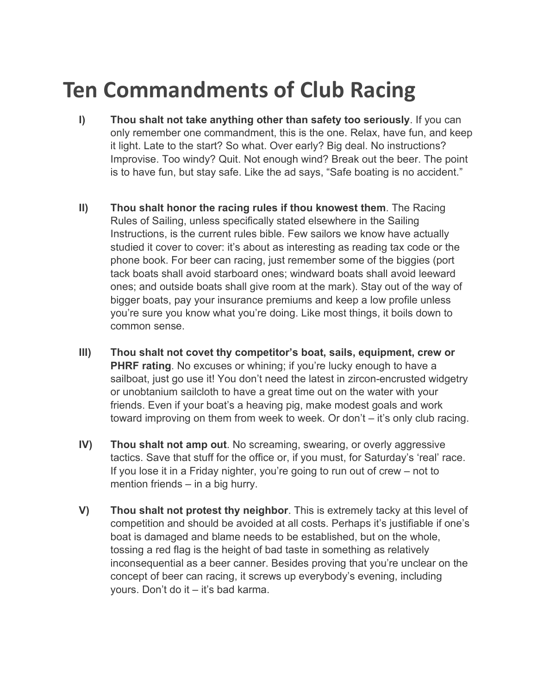## **Ten Commandments of Club Racing**

- **I) Thou shalt not take anything other than safety too seriously**. If you can only remember one commandment, this is the one. Relax, have fun, and keep it light. Late to the start? So what. Over early? Big deal. No instructions? Improvise. Too windy? Quit. Not enough wind? Break out the beer. The point is to have fun, but stay safe. Like the ad says, "Safe boating is no accident."
- **II) Thou shalt honor the racing rules if thou knowest them**. The Racing Rules of Sailing, unless specifically stated elsewhere in the Sailing Instructions, is the current rules bible. Few sailors we know have actually studied it cover to cover: it's about as interesting as reading tax code or the phone book. For beer can racing, just remember some of the biggies (port tack boats shall avoid starboard ones; windward boats shall avoid leeward ones; and outside boats shall give room at the mark). Stay out of the way of bigger boats, pay your insurance premiums and keep a low profile unless you're sure you know what you're doing. Like most things, it boils down to common sense.
- **III) Thou shalt not covet thy competitor's boat, sails, equipment, crew or PHRF rating**. No excuses or whining; if you're lucky enough to have a sailboat, just go use it! You don't need the latest in zircon-encrusted widgetry or unobtanium sailcloth to have a great time out on the water with your friends. Even if your boat's a heaving pig, make modest goals and work toward improving on them from week to week. Or don't – it's only club racing.
- **IV) Thou shalt not amp out**. No screaming, swearing, or overly aggressive tactics. Save that stuff for the office or, if you must, for Saturday's 'real' race. If you lose it in a Friday nighter, you're going to run out of crew – not to mention friends – in a big hurry.
- **V) Thou shalt not protest thy neighbor**. This is extremely tacky at this level of competition and should be avoided at all costs. Perhaps it's justifiable if one's boat is damaged and blame needs to be established, but on the whole, tossing a red flag is the height of bad taste in something as relatively inconsequential as a beer canner. Besides proving that you're unclear on the concept of beer can racing, it screws up everybody's evening, including yours. Don't do it – it's bad karma.